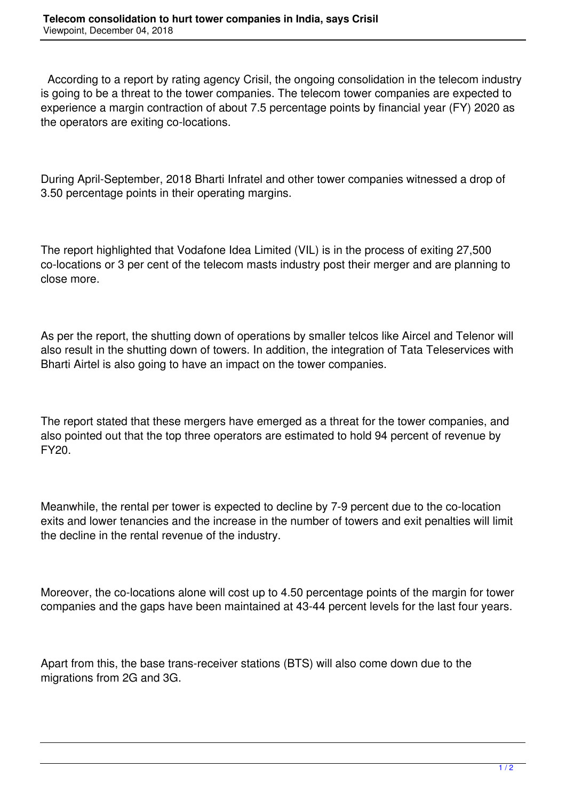According to a report by rating agency Crisil, the ongoing consolidation in the telecom industry is going to be a threat to the tower companies. The telecom tower companies are expected to experience a margin contraction of about 7.5 percentage points by financial year (FY) 2020 as the operators are exiting co-locations.

During April-September, 2018 Bharti Infratel and other tower companies witnessed a drop of 3.50 percentage points in their operating margins.

The report highlighted that Vodafone Idea Limited (VIL) is in the process of exiting 27,500 co-locations or 3 per cent of the telecom masts industry post their merger and are planning to close more.

As per the report, the shutting down of operations by smaller telcos like Aircel and Telenor will also result in the shutting down of towers. In addition, the integration of Tata Teleservices with Bharti Airtel is also going to have an impact on the tower companies.

The report stated that these mergers have emerged as a threat for the tower companies, and also pointed out that the top three operators are estimated to hold 94 percent of revenue by FY20.

Meanwhile, the rental per tower is expected to decline by 7-9 percent due to the co-location exits and lower tenancies and the increase in the number of towers and exit penalties will limit the decline in the rental revenue of the industry.

Moreover, the co-locations alone will cost up to 4.50 percentage points of the margin for tower companies and the gaps have been maintained at 43-44 percent levels for the last four years.

Apart from this, the base trans-receiver stations (BTS) will also come down due to the migrations from 2G and 3G.